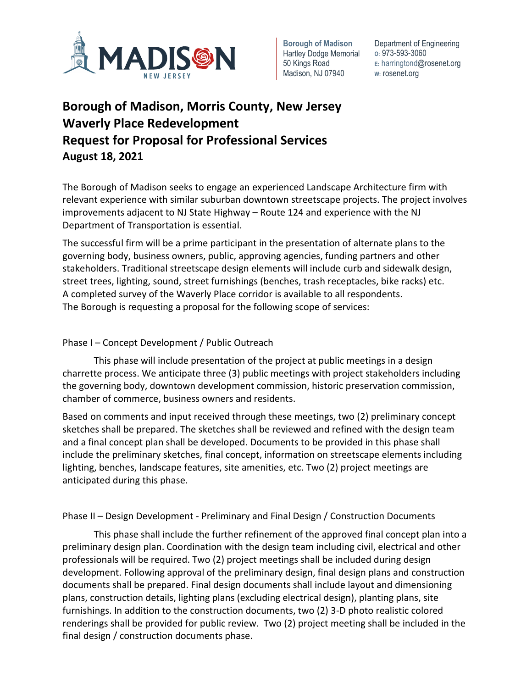

**Borough of Madison**  Hartley Dodge Memorial 50 Kings Road Madison, NJ 07940

Department of Engineering **O:** 973-593-3060 **E:** harringtond@rosenet.org **W:** rosenet.org

## **Borough of Madison, Morris County, New Jersey Waverly Place Redevelopment Request for Proposal for Professional Services August 18, 2021**

The Borough of Madison seeks to engage an experienced Landscape Architecture firm with relevant experience with similar suburban downtown streetscape projects. The project involves improvements adjacent to NJ State Highway – Route 124 and experience with the NJ Department of Transportation is essential.

The successful firm will be a prime participant in the presentation of alternate plans to the governing body, business owners, public, approving agencies, funding partners and other stakeholders. Traditional streetscape design elements will include curb and sidewalk design, street trees, lighting, sound, street furnishings (benches, trash receptacles, bike racks) etc. A completed survey of the Waverly Place corridor is available to all respondents. The Borough is requesting a proposal for the following scope of services:

## Phase I – Concept Development / Public Outreach

This phase will include presentation of the project at public meetings in a design charrette process. We anticipate three (3) public meetings with project stakeholders including the governing body, downtown development commission, historic preservation commission, chamber of commerce, business owners and residents.

Based on comments and input received through these meetings, two (2) preliminary concept sketches shall be prepared. The sketches shall be reviewed and refined with the design team and a final concept plan shall be developed. Documents to be provided in this phase shall include the preliminary sketches, final concept, information on streetscape elements including lighting, benches, landscape features, site amenities, etc. Two (2) project meetings are anticipated during this phase.

Phase II – Design Development - Preliminary and Final Design / Construction Documents

This phase shall include the further refinement of the approved final concept plan into a preliminary design plan. Coordination with the design team including civil, electrical and other professionals will be required. Two (2) project meetings shall be included during design development. Following approval of the preliminary design, final design plans and construction documents shall be prepared. Final design documents shall include layout and dimensioning plans, construction details, lighting plans (excluding electrical design), planting plans, site furnishings. In addition to the construction documents, two (2) 3-D photo realistic colored renderings shall be provided for public review. Two (2) project meeting shall be included in the final design / construction documents phase.